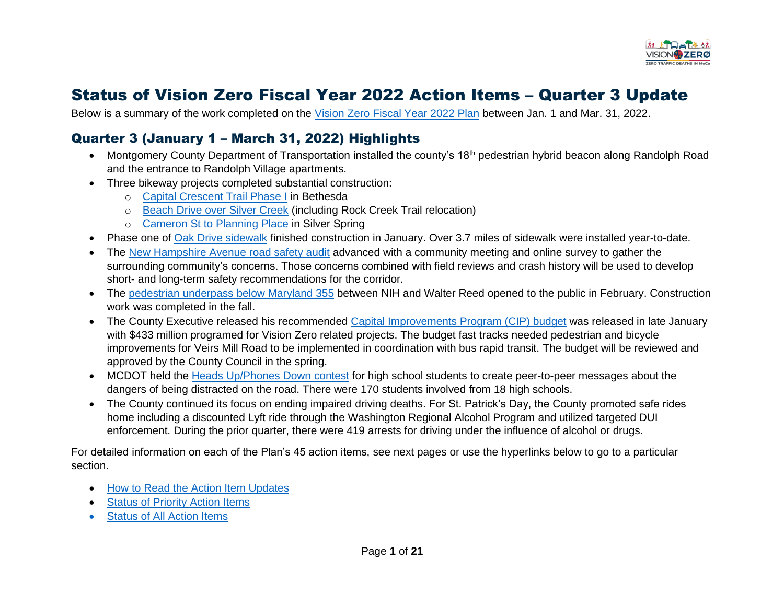

# Status of Vision Zero Fiscal Year 2022 Action Items – Quarter 3 Update

Below is a summary of the work completed on the [Vision Zero Fiscal Year 2022](https://www.montgomerycountymd.gov/visionzero/Resources/Files/FY22-23_Vision_Zero_Workplan.pdf) Plan between Jan. 1 and Mar. 31, 2022.

# Quarter 3 (January 1 – March 31, 2022) Highlights

- Montgomery County Department of Transportation installed the county's 18<sup>th</sup> pedestrian hybrid beacon along Randolph Road and the entrance to Randolph Village apartments.
- Three bikeway projects completed substantial construction:
	- o [Capital Crescent Trail Phase I](https://www.montgomerycountymd.gov/dot-dte/projects/bethesdabikewaypedfacilities/index.html) in Bethesda
	- o [Beach Drive over Silver Creek](https://www.montgomerycountymd.gov/dot-dte/projects/beachdrivebridge/index.html) (including Rock Creek Trail relocation)
	- o [Cameron St to Planning Place](https://www.montgomerycountymd.gov/dot-dte/projects/cameronst/index.html) in Silver Spring
- Phase one of [Oak Drive sidewalk](https://www.montgomerycountymd.gov/dot-dte/projects/oak/index.html) finished construction in January. Over 3.7 miles of sidewalk were installed year-to-date.
- The [New Hampshire Avenue road safety audit](https://www.montgomerycountymd.gov/DOT-PedSafety/PRSA/newhampshire.html) advanced with a community meeting and online survey to gather the surrounding community's concerns. Those concerns combined with field reviews and crash history will be used to develop short- and long-term safety recommendations for the corridor.
- The [pedestrian underpass](https://www2.montgomerycountymd.gov/mcgportalapps/Press_Detail.aspx?Item_ID=40092&Dept=50) below Maryland 355 between NIH and Walter Reed opened to the public in February. Construction work was completed in the fall.
- The County Executive released his recommended [Capital Improvements Program \(CIP\) budget](https://apps.montgomerycountymd.gov/BASISCAPITAL/Common/ProjectList.aspx?ID=3&TYPE=CAT) was released in late January with \$433 million programed for Vision Zero related projects. The budget fast tracks needed pedestrian and bicycle improvements for Veirs Mill Road to be implemented in coordination with bus rapid transit. The budget will be reviewed and approved by the County Council in the spring.
- MCDOT held the [Heads Up/Phones Down contest](https://www.montgomerycountymd.gov/DOT-PedSafety/HUPD/) for high school students to create peer-to-peer messages about the dangers of being distracted on the road. There were 170 students involved from 18 high schools.
- The County continued its focus on ending impaired driving deaths. For St. Patrick's Day, the County promoted safe rides home including a discounted Lyft ride through the Washington Regional Alcohol Program and utilized targeted DUI enforcement. During the prior quarter, there were 419 arrests for driving under the influence of alcohol or drugs.

For detailed information on each of the Plan's 45 action items, see next pages or use the hyperlinks below to go to a particular section.

- [How to Read the Action Item Updates](#page-1-0)
- [Status of Priority Action Items](#page-3-0)
- [Status of All Action Items](#page-8-0)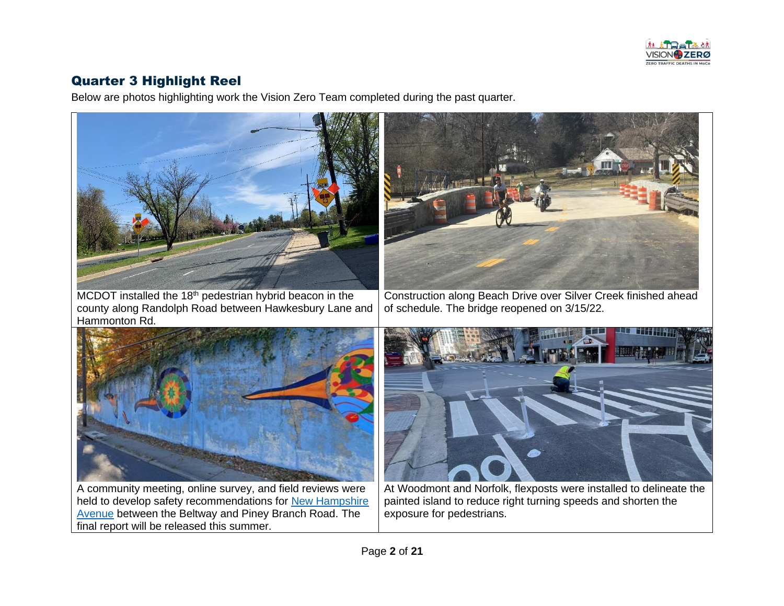

# <span id="page-1-0"></span>Quarter 3 Highlight Reel

Below are photos highlighting work the Vision Zero Team completed during the past quarter.

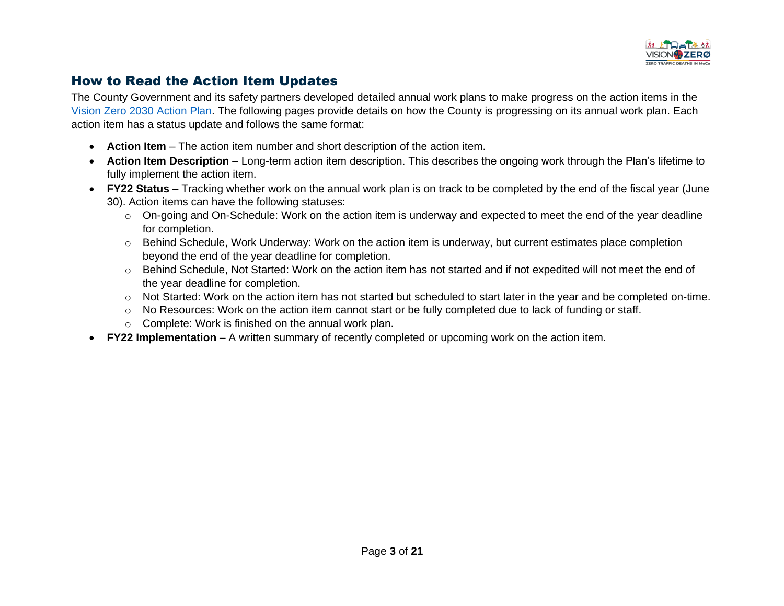

#### How to Read the Action Item Updates

The County Government and its safety partners developed detailed annual work plans to make progress on the action items in the [Vision Zero 2030 Action Plan.](https://www.montgomerycountymd.gov/visionzero/action.html) The following pages provide details on how the County is progressing on its annual work plan. Each action item has a status update and follows the same format:

- **Action Item** The action item number and short description of the action item.
- **Action Item Description**  Long-term action item description. This describes the ongoing work through the Plan's lifetime to fully implement the action item.
- **FY22 Status** Tracking whether work on the annual work plan is on track to be completed by the end of the fiscal year (June 30). Action items can have the following statuses:
	- $\circ$  On-going and On-Schedule: Work on the action item is underway and expected to meet the end of the year deadline for completion.
	- o Behind Schedule, Work Underway: Work on the action item is underway, but current estimates place completion beyond the end of the year deadline for completion.
	- $\circ$  Behind Schedule, Not Started: Work on the action item has not started and if not expedited will not meet the end of the year deadline for completion.
	- $\circ$  Not Started: Work on the action item has not started but scheduled to start later in the year and be completed on-time.
	- $\circ$  No Resources: Work on the action item cannot start or be fully completed due to lack of funding or staff.
	- o Complete: Work is finished on the annual work plan.
- **FY22 Implementation** A written summary of recently completed or upcoming work on the action item.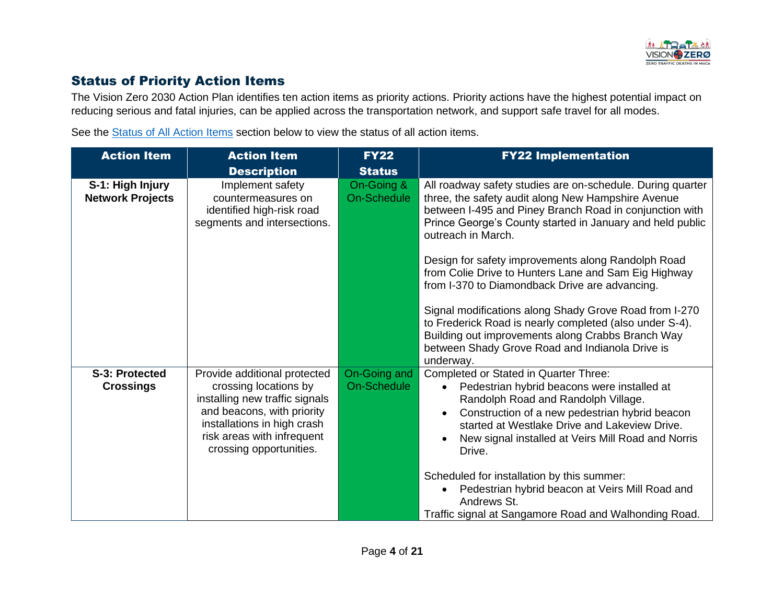

## <span id="page-3-0"></span>Status of Priority Action Items

The Vision Zero 2030 Action Plan identifies ten action items as priority actions. Priority actions have the highest potential impact on reducing serious and fatal injuries, can be applied across the transportation network, and support safe travel for all modes.

See the [Status of All Action Items](#page-8-0) section below to view the status of all action items.

| <b>Action Item</b>                          | <b>Action Item</b>                                                                                                                                                                                            | <b>FY22</b>                      | <b>FY22 Implementation</b>                                                                                                                                                                                                                                                                                                                                                                                                                                                                                                                                                                                                                                               |
|---------------------------------------------|---------------------------------------------------------------------------------------------------------------------------------------------------------------------------------------------------------------|----------------------------------|--------------------------------------------------------------------------------------------------------------------------------------------------------------------------------------------------------------------------------------------------------------------------------------------------------------------------------------------------------------------------------------------------------------------------------------------------------------------------------------------------------------------------------------------------------------------------------------------------------------------------------------------------------------------------|
|                                             | <b>Description</b>                                                                                                                                                                                            | <b>Status</b>                    |                                                                                                                                                                                                                                                                                                                                                                                                                                                                                                                                                                                                                                                                          |
| S-1: High Injury<br><b>Network Projects</b> | Implement safety<br>countermeasures on<br>identified high-risk road<br>segments and intersections.                                                                                                            | On-Going &<br><b>On-Schedule</b> | All roadway safety studies are on-schedule. During quarter<br>three, the safety audit along New Hampshire Avenue<br>between I-495 and Piney Branch Road in conjunction with<br>Prince George's County started in January and held public<br>outreach in March.<br>Design for safety improvements along Randolph Road<br>from Colie Drive to Hunters Lane and Sam Eig Highway<br>from I-370 to Diamondback Drive are advancing.<br>Signal modifications along Shady Grove Road from I-270<br>to Frederick Road is nearly completed (also under S-4).<br>Building out improvements along Crabbs Branch Way<br>between Shady Grove Road and Indianola Drive is<br>underway. |
| S-3: Protected<br><b>Crossings</b>          | Provide additional protected<br>crossing locations by<br>installing new traffic signals<br>and beacons, with priority<br>installations in high crash<br>risk areas with infrequent<br>crossing opportunities. | On-Going and<br>On-Schedule      | Completed or Stated in Quarter Three:<br>Pedestrian hybrid beacons were installed at<br>Randolph Road and Randolph Village.<br>Construction of a new pedestrian hybrid beacon<br>$\bullet$<br>started at Westlake Drive and Lakeview Drive.<br>New signal installed at Veirs Mill Road and Norris<br>Drive.<br>Scheduled for installation by this summer:<br>Pedestrian hybrid beacon at Veirs Mill Road and<br>$\bullet$<br>Andrews St.<br>Traffic signal at Sangamore Road and Walhonding Road.                                                                                                                                                                        |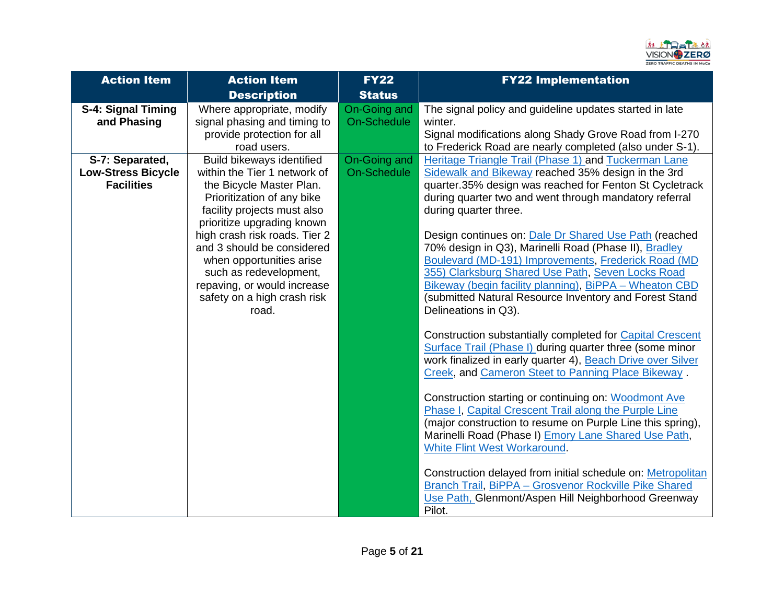

| <b>Action Item</b>                                                | <b>Action Item</b>                                                                                                                                                                                                                                                                                                                                                           | <b>FY22</b>                        | <b>FY22 Implementation</b>                                                                                                                                                                                                                                                                                                                                                                                                                                                                                                                                                                                                                                                                                                                                                                                                                                                                                                                                                                                                                                                                                                                                                                                                                                                                                                                              |
|-------------------------------------------------------------------|------------------------------------------------------------------------------------------------------------------------------------------------------------------------------------------------------------------------------------------------------------------------------------------------------------------------------------------------------------------------------|------------------------------------|---------------------------------------------------------------------------------------------------------------------------------------------------------------------------------------------------------------------------------------------------------------------------------------------------------------------------------------------------------------------------------------------------------------------------------------------------------------------------------------------------------------------------------------------------------------------------------------------------------------------------------------------------------------------------------------------------------------------------------------------------------------------------------------------------------------------------------------------------------------------------------------------------------------------------------------------------------------------------------------------------------------------------------------------------------------------------------------------------------------------------------------------------------------------------------------------------------------------------------------------------------------------------------------------------------------------------------------------------------|
|                                                                   | <b>Description</b>                                                                                                                                                                                                                                                                                                                                                           | <b>Status</b>                      |                                                                                                                                                                                                                                                                                                                                                                                                                                                                                                                                                                                                                                                                                                                                                                                                                                                                                                                                                                                                                                                                                                                                                                                                                                                                                                                                                         |
| S-4: Signal Timing<br>and Phasing                                 | Where appropriate, modify<br>signal phasing and timing to<br>provide protection for all<br>road users.                                                                                                                                                                                                                                                                       | On-Going and<br>On-Schedule        | The signal policy and guideline updates started in late<br>winter.<br>Signal modifications along Shady Grove Road from I-270<br>to Frederick Road are nearly completed (also under S-1).                                                                                                                                                                                                                                                                                                                                                                                                                                                                                                                                                                                                                                                                                                                                                                                                                                                                                                                                                                                                                                                                                                                                                                |
| S-7: Separated,<br><b>Low-Stress Bicycle</b><br><b>Facilities</b> | Build bikeways identified<br>within the Tier 1 network of<br>the Bicycle Master Plan.<br>Prioritization of any bike<br>facility projects must also<br>prioritize upgrading known<br>high crash risk roads. Tier 2<br>and 3 should be considered<br>when opportunities arise<br>such as redevelopment,<br>repaving, or would increase<br>safety on a high crash risk<br>road. | On-Going and<br><b>On-Schedule</b> | Heritage Triangle Trail (Phase 1) and Tuckerman Lane<br>Sidewalk and Bikeway reached 35% design in the 3rd<br>quarter.35% design was reached for Fenton St Cycletrack<br>during quarter two and went through mandatory referral<br>during quarter three.<br>Design continues on: Dale Dr Shared Use Path (reached<br>70% design in Q3), Marinelli Road (Phase II), Bradley<br>Boulevard (MD-191) Improvements, Frederick Road (MD<br>355) Clarksburg Shared Use Path, Seven Locks Road<br>Bikeway (begin facility planning), BiPPA - Wheaton CBD<br>(submitted Natural Resource Inventory and Forest Stand<br>Delineations in Q3).<br>Construction substantially completed for Capital Crescent<br>Surface Trail (Phase I) during quarter three (some minor<br>work finalized in early quarter 4), Beach Drive over Silver<br>Creek, and Cameron Steet to Panning Place Bikeway.<br>Construction starting or continuing on: Woodmont Ave<br>Phase I, Capital Crescent Trail along the Purple Line<br>(major construction to resume on Purple Line this spring),<br>Marinelli Road (Phase I) Emory Lane Shared Use Path,<br><b>White Flint West Workaround.</b><br>Construction delayed from initial schedule on: Metropolitan<br>Branch Trail, BiPPA - Grosvenor Rockville Pike Shared<br>Use Path, Glenmont/Aspen Hill Neighborhood Greenway<br>Pilot. |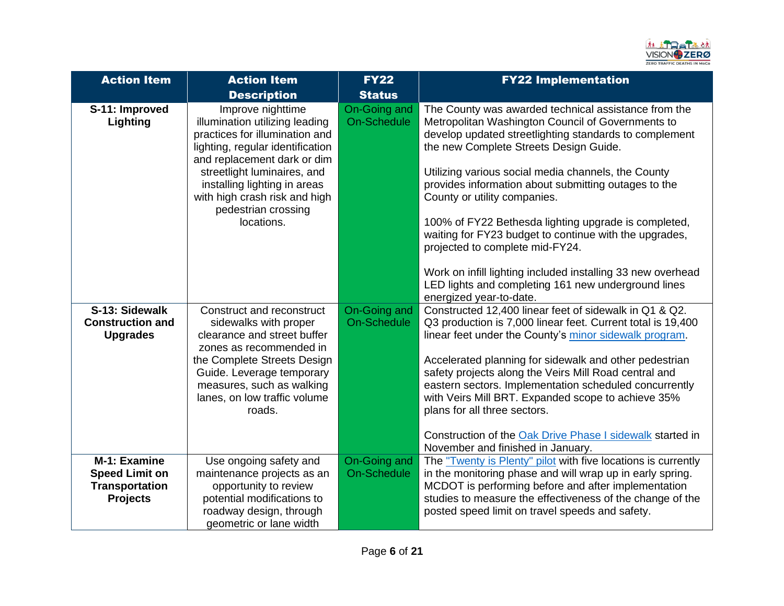

| <b>Action Item</b>                                                                | <b>Action Item</b>                                                                                                                                                                                                                                                                            | <b>FY22</b>                        | <b>FY22 Implementation</b>                                                                                                                                                                                                                                                                                                                                                                                                                                                                                                                                                                                                                                         |
|-----------------------------------------------------------------------------------|-----------------------------------------------------------------------------------------------------------------------------------------------------------------------------------------------------------------------------------------------------------------------------------------------|------------------------------------|--------------------------------------------------------------------------------------------------------------------------------------------------------------------------------------------------------------------------------------------------------------------------------------------------------------------------------------------------------------------------------------------------------------------------------------------------------------------------------------------------------------------------------------------------------------------------------------------------------------------------------------------------------------------|
|                                                                                   | <b>Description</b>                                                                                                                                                                                                                                                                            | <b>Status</b>                      |                                                                                                                                                                                                                                                                                                                                                                                                                                                                                                                                                                                                                                                                    |
| S-11: Improved<br>Lighting                                                        | Improve nighttime<br>illumination utilizing leading<br>practices for illumination and<br>lighting, regular identification<br>and replacement dark or dim<br>streetlight luminaires, and<br>installing lighting in areas<br>with high crash risk and high<br>pedestrian crossing<br>locations. | On-Going and<br><b>On-Schedule</b> | The County was awarded technical assistance from the<br>Metropolitan Washington Council of Governments to<br>develop updated streetlighting standards to complement<br>the new Complete Streets Design Guide.<br>Utilizing various social media channels, the County<br>provides information about submitting outages to the<br>County or utility companies.<br>100% of FY22 Bethesda lighting upgrade is completed,<br>waiting for FY23 budget to continue with the upgrades,<br>projected to complete mid-FY24.<br>Work on infill lighting included installing 33 new overhead<br>LED lights and completing 161 new underground lines<br>energized year-to-date. |
| S-13: Sidewalk<br><b>Construction and</b><br><b>Upgrades</b>                      | Construct and reconstruct<br>sidewalks with proper<br>clearance and street buffer<br>zones as recommended in<br>the Complete Streets Design<br>Guide. Leverage temporary<br>measures, such as walking<br>lanes, on low traffic volume<br>roads.                                               | On-Going and<br><b>On-Schedule</b> | Constructed 12,400 linear feet of sidewalk in Q1 & Q2.<br>Q3 production is 7,000 linear feet. Current total is 19,400<br>linear feet under the County's minor sidewalk program.<br>Accelerated planning for sidewalk and other pedestrian<br>safety projects along the Veirs Mill Road central and<br>eastern sectors. Implementation scheduled concurrently<br>with Veirs Mill BRT. Expanded scope to achieve 35%<br>plans for all three sectors.<br>Construction of the Oak Drive Phase I sidewalk started in<br>November and finished in January.                                                                                                               |
| M-1: Examine<br><b>Speed Limit on</b><br><b>Transportation</b><br><b>Projects</b> | Use ongoing safety and<br>maintenance projects as an<br>opportunity to review<br>potential modifications to<br>roadway design, through<br>geometric or lane width                                                                                                                             | On-Going and<br><b>On-Schedule</b> | The "Twenty is Plenty" pilot with five locations is currently<br>in the monitoring phase and will wrap up in early spring.<br>MCDOT is performing before and after implementation<br>studies to measure the effectiveness of the change of the<br>posted speed limit on travel speeds and safety.                                                                                                                                                                                                                                                                                                                                                                  |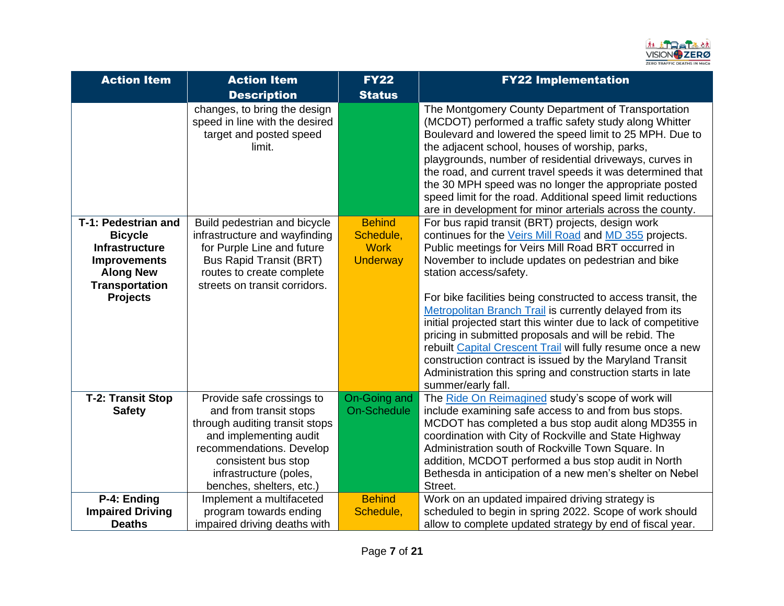

| <b>Action Item</b>                                                                                                                             | <b>Action Item</b>                                                                                                                                                                                                       | <b>FY22</b>                                                  | <b>FY22 Implementation</b>                                                                                                                                                                                                                                                                                                                                                                                                                                                                                                                                                                                                                                                                                             |
|------------------------------------------------------------------------------------------------------------------------------------------------|--------------------------------------------------------------------------------------------------------------------------------------------------------------------------------------------------------------------------|--------------------------------------------------------------|------------------------------------------------------------------------------------------------------------------------------------------------------------------------------------------------------------------------------------------------------------------------------------------------------------------------------------------------------------------------------------------------------------------------------------------------------------------------------------------------------------------------------------------------------------------------------------------------------------------------------------------------------------------------------------------------------------------------|
|                                                                                                                                                | <b>Description</b>                                                                                                                                                                                                       | <b>Status</b>                                                |                                                                                                                                                                                                                                                                                                                                                                                                                                                                                                                                                                                                                                                                                                                        |
|                                                                                                                                                | changes, to bring the design<br>speed in line with the desired<br>target and posted speed<br>limit.                                                                                                                      |                                                              | The Montgomery County Department of Transportation<br>(MCDOT) performed a traffic safety study along Whitter<br>Boulevard and lowered the speed limit to 25 MPH. Due to<br>the adjacent school, houses of worship, parks,<br>playgrounds, number of residential driveways, curves in<br>the road, and current travel speeds it was determined that<br>the 30 MPH speed was no longer the appropriate posted<br>speed limit for the road. Additional speed limit reductions<br>are in development for minor arterials across the county.                                                                                                                                                                                |
| T-1: Pedestrian and<br><b>Bicycle</b><br>Infrastructure<br><b>Improvements</b><br><b>Along New</b><br><b>Transportation</b><br><b>Projects</b> | Build pedestrian and bicycle<br>infrastructure and wayfinding<br>for Purple Line and future<br><b>Bus Rapid Transit (BRT)</b><br>routes to create complete<br>streets on transit corridors.                              | <b>Behind</b><br>Schedule,<br><b>Work</b><br><b>Underway</b> | For bus rapid transit (BRT) projects, design work<br>continues for the Veirs Mill Road and MD 355 projects.<br>Public meetings for Veirs Mill Road BRT occurred in<br>November to include updates on pedestrian and bike<br>station access/safety.<br>For bike facilities being constructed to access transit, the<br>Metropolitan Branch Trail is currently delayed from its<br>initial projected start this winter due to lack of competitive<br>pricing in submitted proposals and will be rebid. The<br>rebuilt Capital Crescent Trail will fully resume once a new<br>construction contract is issued by the Maryland Transit<br>Administration this spring and construction starts in late<br>summer/early fall. |
| <b>T-2: Transit Stop</b><br><b>Safety</b>                                                                                                      | Provide safe crossings to<br>and from transit stops<br>through auditing transit stops<br>and implementing audit<br>recommendations. Develop<br>consistent bus stop<br>infrastructure (poles,<br>benches, shelters, etc.) | On-Going and<br><b>On-Schedule</b>                           | The Ride On Reimagined study's scope of work will<br>include examining safe access to and from bus stops.<br>MCDOT has completed a bus stop audit along MD355 in<br>coordination with City of Rockville and State Highway<br>Administration south of Rockville Town Square. In<br>addition, MCDOT performed a bus stop audit in North<br>Bethesda in anticipation of a new men's shelter on Nebel<br>Street.                                                                                                                                                                                                                                                                                                           |
| P-4: Ending<br><b>Impaired Driving</b><br><b>Deaths</b>                                                                                        | Implement a multifaceted<br>program towards ending<br>impaired driving deaths with                                                                                                                                       | <b>Behind</b><br>Schedule,                                   | Work on an updated impaired driving strategy is<br>scheduled to begin in spring 2022. Scope of work should<br>allow to complete updated strategy by end of fiscal year.                                                                                                                                                                                                                                                                                                                                                                                                                                                                                                                                                |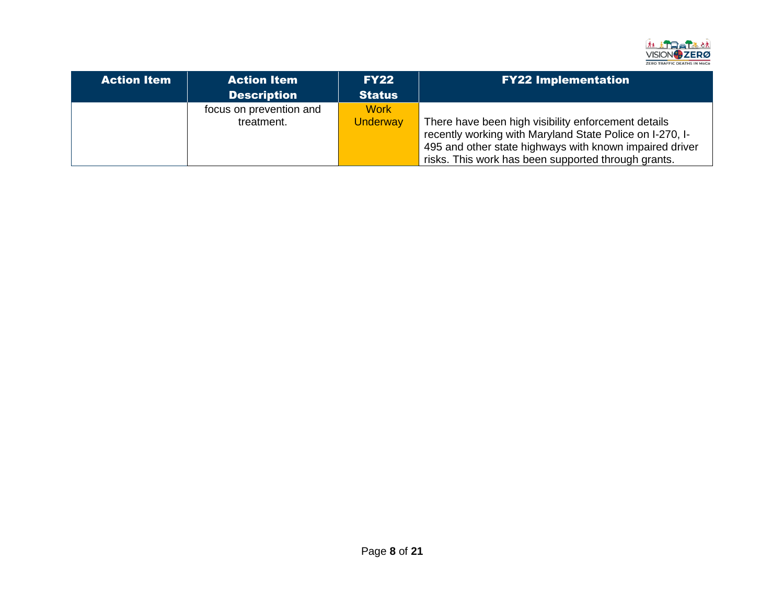

| <b>Action Item</b> | <b>Action Item</b>                    | <b>FY22</b>                    | <b>FY22 Implementation</b>                                                                                                                                                                                                        |
|--------------------|---------------------------------------|--------------------------------|-----------------------------------------------------------------------------------------------------------------------------------------------------------------------------------------------------------------------------------|
|                    | <b>Description</b>                    | <b>Status</b>                  |                                                                                                                                                                                                                                   |
|                    | focus on prevention and<br>treatment. | <b>Work</b><br><b>Underway</b> | There have been high visibility enforcement details<br>recently working with Maryland State Police on I-270, I-<br>495 and other state highways with known impaired driver<br>risks. This work has been supported through grants. |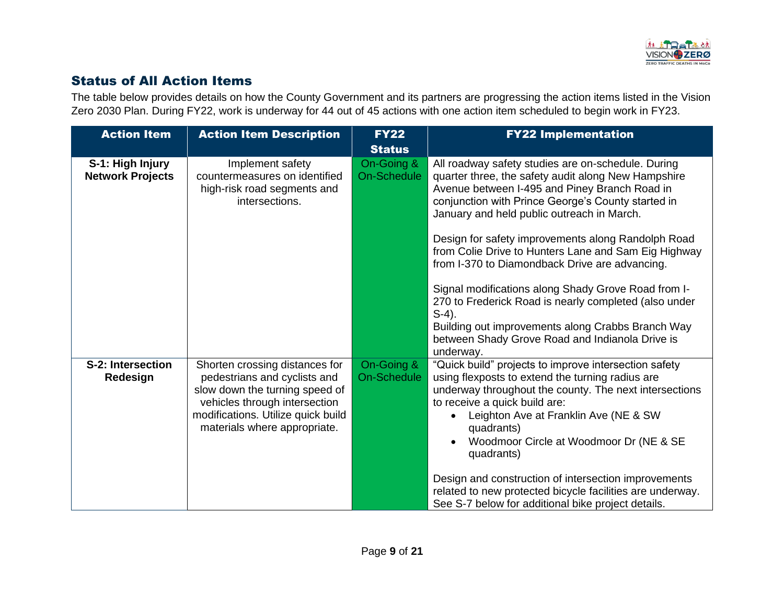

# <span id="page-8-0"></span>Status of All Action Items

The table below provides details on how the County Government and its partners are progressing the action items listed in the Vision Zero 2030 Plan. During FY22, work is underway for 44 out of 45 actions with one action item scheduled to begin work in FY23.

| <b>Action Item</b>                          | <b>Action Item Description</b>                                                                                                                                                                          | <b>FY22</b><br><b>Status</b>     | <b>FY22 Implementation</b>                                                                                                                                                                                                                                                                                                                     |
|---------------------------------------------|---------------------------------------------------------------------------------------------------------------------------------------------------------------------------------------------------------|----------------------------------|------------------------------------------------------------------------------------------------------------------------------------------------------------------------------------------------------------------------------------------------------------------------------------------------------------------------------------------------|
| S-1: High Injury<br><b>Network Projects</b> | Implement safety<br>countermeasures on identified<br>high-risk road segments and<br>intersections.                                                                                                      | On-Going &<br><b>On-Schedule</b> | All roadway safety studies are on-schedule. During<br>quarter three, the safety audit along New Hampshire<br>Avenue between I-495 and Piney Branch Road in<br>conjunction with Prince George's County started in<br>January and held public outreach in March.                                                                                 |
|                                             |                                                                                                                                                                                                         |                                  | Design for safety improvements along Randolph Road<br>from Colie Drive to Hunters Lane and Sam Eig Highway<br>from I-370 to Diamondback Drive are advancing.                                                                                                                                                                                   |
|                                             |                                                                                                                                                                                                         |                                  | Signal modifications along Shady Grove Road from I-<br>270 to Frederick Road is nearly completed (also under<br>$S-4$ ).<br>Building out improvements along Crabbs Branch Way<br>between Shady Grove Road and Indianola Drive is<br>underway.                                                                                                  |
| S-2: Intersection<br>Redesign               | Shorten crossing distances for<br>pedestrians and cyclists and<br>slow down the turning speed of<br>vehicles through intersection<br>modifications. Utilize quick build<br>materials where appropriate. | On-Going &<br><b>On-Schedule</b> | "Quick build" projects to improve intersection safety<br>using flexposts to extend the turning radius are<br>underway throughout the county. The next intersections<br>to receive a quick build are:<br>Leighton Ave at Franklin Ave (NE & SW<br>$\bullet$<br>quadrants)<br>Woodmoor Circle at Woodmoor Dr (NE & SE<br>$\bullet$<br>quadrants) |
|                                             |                                                                                                                                                                                                         |                                  | Design and construction of intersection improvements<br>related to new protected bicycle facilities are underway.<br>See S-7 below for additional bike project details.                                                                                                                                                                        |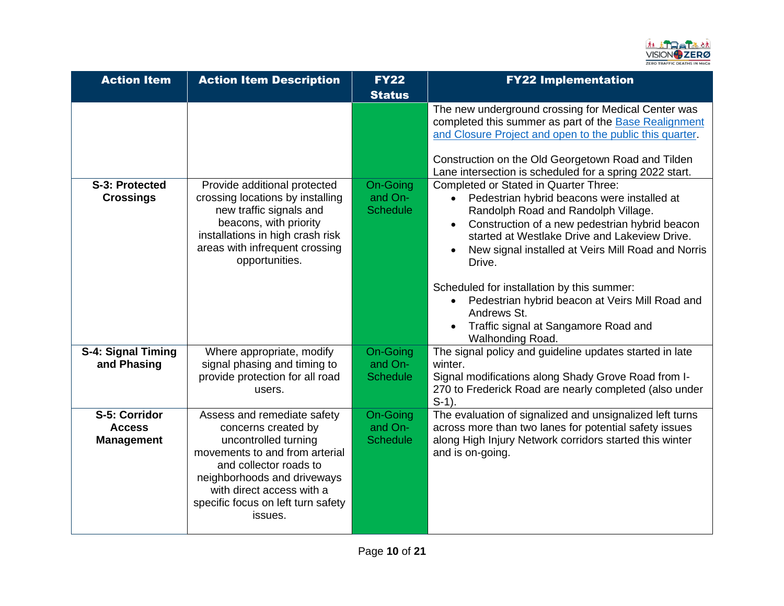

| <b>Action Item</b>                                  | <b>Action Item Description</b>                                                                                                                                                                                                                      | <b>FY22</b><br><b>Status</b>                  | <b>FY22 Implementation</b>                                                                                                                                                                                                                                                                                                                                                                                   |
|-----------------------------------------------------|-----------------------------------------------------------------------------------------------------------------------------------------------------------------------------------------------------------------------------------------------------|-----------------------------------------------|--------------------------------------------------------------------------------------------------------------------------------------------------------------------------------------------------------------------------------------------------------------------------------------------------------------------------------------------------------------------------------------------------------------|
|                                                     |                                                                                                                                                                                                                                                     |                                               | The new underground crossing for Medical Center was<br>completed this summer as part of the Base Realignment<br>and Closure Project and open to the public this quarter.<br>Construction on the Old Georgetown Road and Tilden<br>Lane intersection is scheduled for a spring 2022 start.                                                                                                                    |
| S-3: Protected<br><b>Crossings</b>                  | Provide additional protected<br>crossing locations by installing<br>new traffic signals and<br>beacons, with priority<br>installations in high crash risk<br>areas with infrequent crossing<br>opportunities.                                       | On-Going<br>and On-<br><b>Schedule</b>        | Completed or Stated in Quarter Three:<br>Pedestrian hybrid beacons were installed at<br>Randolph Road and Randolph Village.<br>Construction of a new pedestrian hybrid beacon<br>started at Westlake Drive and Lakeview Drive.<br>New signal installed at Veirs Mill Road and Norris<br>Drive.<br>Scheduled for installation by this summer:<br>Pedestrian hybrid beacon at Veirs Mill Road and<br>$\bullet$ |
|                                                     |                                                                                                                                                                                                                                                     |                                               | Andrews St.<br>Traffic signal at Sangamore Road and<br>Walhonding Road.                                                                                                                                                                                                                                                                                                                                      |
| S-4: Signal Timing<br>and Phasing                   | Where appropriate, modify<br>signal phasing and timing to<br>provide protection for all road<br>users.                                                                                                                                              | On-Going<br>and On-<br><b>Schedule</b>        | The signal policy and guideline updates started in late<br>winter.<br>Signal modifications along Shady Grove Road from I-<br>270 to Frederick Road are nearly completed (also under<br>$S-1$ ).                                                                                                                                                                                                              |
| S-5: Corridor<br><b>Access</b><br><b>Management</b> | Assess and remediate safety<br>concerns created by<br>uncontrolled turning<br>movements to and from arterial<br>and collector roads to<br>neighborhoods and driveways<br>with direct access with a<br>specific focus on left turn safety<br>issues. | <b>On-Going</b><br>and On-<br><b>Schedule</b> | The evaluation of signalized and unsignalized left turns<br>across more than two lanes for potential safety issues<br>along High Injury Network corridors started this winter<br>and is on-going.                                                                                                                                                                                                            |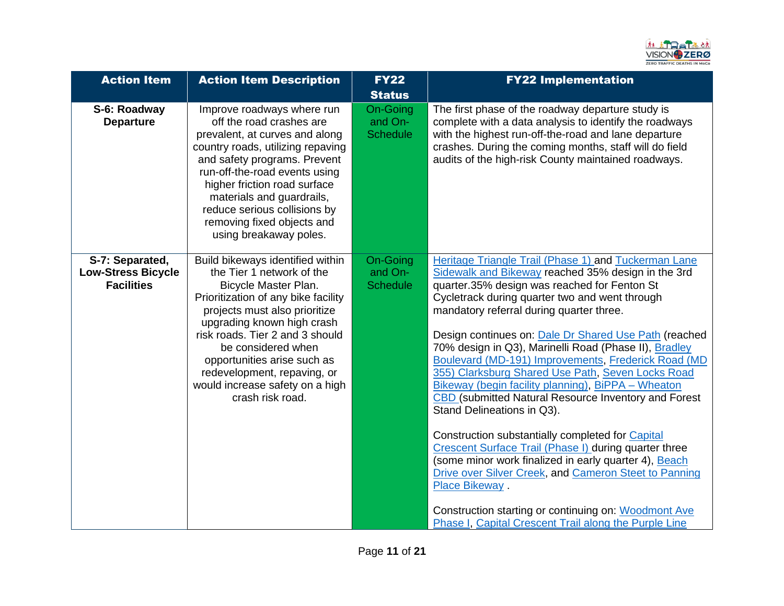

| <b>Action Item</b>                                                | <b>Action Item Description</b>                                                                                                                                                                                                                                                                                                                                            | <b>FY22</b><br><b>Status</b>                  | <b>FY22 Implementation</b>                                                                                                                                                                                                                                                                                                                                                                                                                                                                                                                                                                                                                                                                                                                                                                                                                                                                                                                                                                           |
|-------------------------------------------------------------------|---------------------------------------------------------------------------------------------------------------------------------------------------------------------------------------------------------------------------------------------------------------------------------------------------------------------------------------------------------------------------|-----------------------------------------------|------------------------------------------------------------------------------------------------------------------------------------------------------------------------------------------------------------------------------------------------------------------------------------------------------------------------------------------------------------------------------------------------------------------------------------------------------------------------------------------------------------------------------------------------------------------------------------------------------------------------------------------------------------------------------------------------------------------------------------------------------------------------------------------------------------------------------------------------------------------------------------------------------------------------------------------------------------------------------------------------------|
| S-6: Roadway<br><b>Departure</b>                                  | Improve roadways where run<br>off the road crashes are<br>prevalent, at curves and along<br>country roads, utilizing repaving<br>and safety programs. Prevent<br>run-off-the-road events using<br>higher friction road surface<br>materials and guardrails,<br>reduce serious collisions by<br>removing fixed objects and<br>using breakaway poles.                       | <b>On-Going</b><br>and On-<br><b>Schedule</b> | The first phase of the roadway departure study is<br>complete with a data analysis to identify the roadways<br>with the highest run-off-the-road and lane departure<br>crashes. During the coming months, staff will do field<br>audits of the high-risk County maintained roadways.                                                                                                                                                                                                                                                                                                                                                                                                                                                                                                                                                                                                                                                                                                                 |
| S-7: Separated,<br><b>Low-Stress Bicycle</b><br><b>Facilities</b> | Build bikeways identified within<br>the Tier 1 network of the<br>Bicycle Master Plan.<br>Prioritization of any bike facility<br>projects must also prioritize<br>upgrading known high crash<br>risk roads. Tier 2 and 3 should<br>be considered when<br>opportunities arise such as<br>redevelopment, repaving, or<br>would increase safety on a high<br>crash risk road. | On-Going<br>and On-<br><b>Schedule</b>        | Heritage Triangle Trail (Phase 1) and Tuckerman Lane<br>Sidewalk and Bikeway reached 35% design in the 3rd<br>quarter.35% design was reached for Fenton St<br>Cycletrack during quarter two and went through<br>mandatory referral during quarter three.<br>Design continues on: Dale Dr Shared Use Path (reached<br>70% design in Q3), Marinelli Road (Phase II), Bradley<br>Boulevard (MD-191) Improvements, Frederick Road (MD<br>355) Clarksburg Shared Use Path, Seven Locks Road<br>Bikeway (begin facility planning), BiPPA - Wheaton<br>CBD (submitted Natural Resource Inventory and Forest<br>Stand Delineations in Q3).<br>Construction substantially completed for Capital<br>Crescent Surface Trail (Phase I) during quarter three<br>(some minor work finalized in early quarter 4), Beach<br>Drive over Silver Creek, and Cameron Steet to Panning<br>Place Bikeway.<br>Construction starting or continuing on: Woodmont Ave<br>Phase I, Capital Crescent Trail along the Purple Line |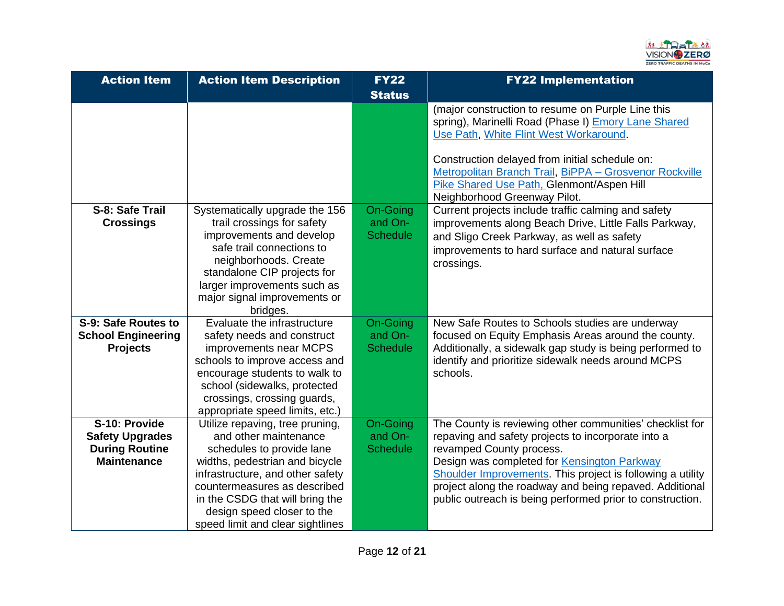

| <b>Action Item</b>                                                                     | <b>Action Item Description</b>                                                                                                                                                                                                                                                                   | <b>FY22</b><br><b>Status</b>           | <b>FY22 Implementation</b>                                                                                                                                                                                                                                                                                                                                                      |
|----------------------------------------------------------------------------------------|--------------------------------------------------------------------------------------------------------------------------------------------------------------------------------------------------------------------------------------------------------------------------------------------------|----------------------------------------|---------------------------------------------------------------------------------------------------------------------------------------------------------------------------------------------------------------------------------------------------------------------------------------------------------------------------------------------------------------------------------|
|                                                                                        |                                                                                                                                                                                                                                                                                                  |                                        | (major construction to resume on Purple Line this<br>spring), Marinelli Road (Phase I) Emory Lane Shared<br>Use Path, White Flint West Workaround.<br>Construction delayed from initial schedule on:<br>Metropolitan Branch Trail, BiPPA - Grosvenor Rockville<br>Pike Shared Use Path, Glenmont/Aspen Hill<br>Neighborhood Greenway Pilot.                                     |
| S-8: Safe Trail<br><b>Crossings</b>                                                    | Systematically upgrade the 156<br>trail crossings for safety<br>improvements and develop<br>safe trail connections to<br>neighborhoods. Create<br>standalone CIP projects for<br>larger improvements such as<br>major signal improvements or<br>bridges.                                         | On-Going<br>and On-<br><b>Schedule</b> | Current projects include traffic calming and safety<br>improvements along Beach Drive, Little Falls Parkway,<br>and Sligo Creek Parkway, as well as safety<br>improvements to hard surface and natural surface<br>crossings.                                                                                                                                                    |
| S-9: Safe Routes to<br><b>School Engineering</b><br><b>Projects</b>                    | Evaluate the infrastructure<br>safety needs and construct<br>improvements near MCPS<br>schools to improve access and<br>encourage students to walk to<br>school (sidewalks, protected<br>crossings, crossing guards,<br>appropriate speed limits, etc.)                                          | On-Going<br>and On-<br><b>Schedule</b> | New Safe Routes to Schools studies are underway<br>focused on Equity Emphasis Areas around the county.<br>Additionally, a sidewalk gap study is being performed to<br>identify and prioritize sidewalk needs around MCPS<br>schools.                                                                                                                                            |
| S-10: Provide<br><b>Safety Upgrades</b><br><b>During Routine</b><br><b>Maintenance</b> | Utilize repaving, tree pruning,<br>and other maintenance<br>schedules to provide lane<br>widths, pedestrian and bicycle<br>infrastructure, and other safety<br>countermeasures as described<br>in the CSDG that will bring the<br>design speed closer to the<br>speed limit and clear sightlines | On-Going<br>and On-<br><b>Schedule</b> | The County is reviewing other communities' checklist for<br>repaving and safety projects to incorporate into a<br>revamped County process.<br>Design was completed for Kensington Parkway<br>Shoulder Improvements. This project is following a utility<br>project along the roadway and being repaved. Additional<br>public outreach is being performed prior to construction. |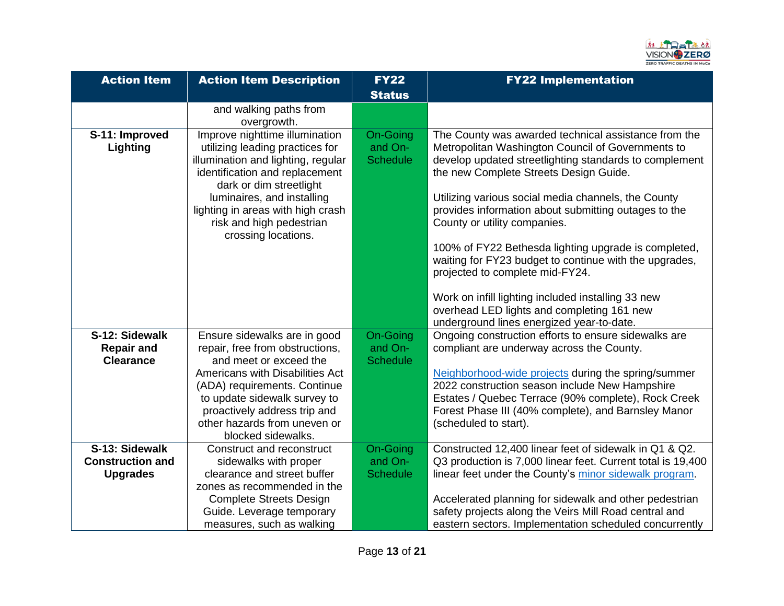

| <b>Action Item</b>         | <b>Action Item Description</b>                                                                                                                                                                                                                                      | <b>FY22</b><br><b>Status</b>           | <b>FY22 Implementation</b>                                                                                                                                                                                                                                                                                                                                   |
|----------------------------|---------------------------------------------------------------------------------------------------------------------------------------------------------------------------------------------------------------------------------------------------------------------|----------------------------------------|--------------------------------------------------------------------------------------------------------------------------------------------------------------------------------------------------------------------------------------------------------------------------------------------------------------------------------------------------------------|
|                            | and walking paths from                                                                                                                                                                                                                                              |                                        |                                                                                                                                                                                                                                                                                                                                                              |
|                            | overgrowth.                                                                                                                                                                                                                                                         |                                        |                                                                                                                                                                                                                                                                                                                                                              |
| S-11: Improved<br>Lighting | Improve nighttime illumination<br>utilizing leading practices for<br>illumination and lighting, regular<br>identification and replacement<br>dark or dim streetlight<br>luminaires, and installing<br>lighting in areas with high crash<br>risk and high pedestrian | On-Going<br>and On-<br><b>Schedule</b> | The County was awarded technical assistance from the<br>Metropolitan Washington Council of Governments to<br>develop updated streetlighting standards to complement<br>the new Complete Streets Design Guide.<br>Utilizing various social media channels, the County<br>provides information about submitting outages to the<br>County or utility companies. |
|                            | crossing locations.                                                                                                                                                                                                                                                 |                                        | 100% of FY22 Bethesda lighting upgrade is completed,<br>waiting for FY23 budget to continue with the upgrades,<br>projected to complete mid-FY24.<br>Work on infill lighting included installing 33 new<br>overhead LED lights and completing 161 new<br>underground lines energized year-to-date.                                                           |
| S-12: Sidewalk             | Ensure sidewalks are in good                                                                                                                                                                                                                                        | On-Going                               | Ongoing construction efforts to ensure sidewalks are                                                                                                                                                                                                                                                                                                         |
| <b>Repair and</b>          | repair, free from obstructions,                                                                                                                                                                                                                                     | and On-                                | compliant are underway across the County.                                                                                                                                                                                                                                                                                                                    |
| <b>Clearance</b>           | and meet or exceed the<br>Americans with Disabilities Act<br>(ADA) requirements. Continue<br>to update sidewalk survey to<br>proactively address trip and<br>other hazards from uneven or<br>blocked sidewalks.                                                     | <b>Schedule</b>                        | Neighborhood-wide projects during the spring/summer<br>2022 construction season include New Hampshire<br>Estates / Quebec Terrace (90% complete), Rock Creek<br>Forest Phase III (40% complete), and Barnsley Manor<br>(scheduled to start).                                                                                                                 |
| S-13: Sidewalk             | Construct and reconstruct                                                                                                                                                                                                                                           | <b>On-Going</b>                        | Constructed 12,400 linear feet of sidewalk in Q1 & Q2.                                                                                                                                                                                                                                                                                                       |
| <b>Construction and</b>    | sidewalks with proper<br>clearance and street buffer                                                                                                                                                                                                                | and On-                                | Q3 production is 7,000 linear feet. Current total is 19,400                                                                                                                                                                                                                                                                                                  |
| <b>Upgrades</b>            | zones as recommended in the                                                                                                                                                                                                                                         | <b>Schedule</b>                        | linear feet under the County's minor sidewalk program.                                                                                                                                                                                                                                                                                                       |
|                            | <b>Complete Streets Design</b><br>Guide. Leverage temporary                                                                                                                                                                                                         |                                        | Accelerated planning for sidewalk and other pedestrian<br>safety projects along the Veirs Mill Road central and                                                                                                                                                                                                                                              |
|                            | measures, such as walking                                                                                                                                                                                                                                           |                                        | eastern sectors. Implementation scheduled concurrently                                                                                                                                                                                                                                                                                                       |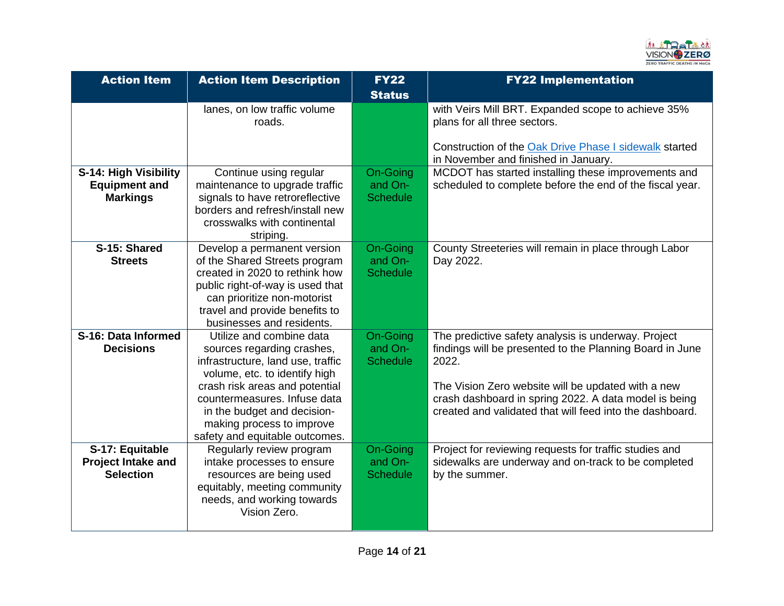

| <b>Action Item</b>        | <b>Action Item Description</b>                              | <b>FY22</b><br><b>Status</b> | <b>FY22 Implementation</b>                                                                                                                   |
|---------------------------|-------------------------------------------------------------|------------------------------|----------------------------------------------------------------------------------------------------------------------------------------------|
|                           | lanes, on low traffic volume<br>roads.                      |                              | with Veirs Mill BRT. Expanded scope to achieve 35%<br>plans for all three sectors.<br>Construction of the Oak Drive Phase I sidewalk started |
|                           |                                                             |                              | in November and finished in January.                                                                                                         |
| S-14: High Visibility     | Continue using regular                                      | <b>On-Going</b>              | MCDOT has started installing these improvements and                                                                                          |
| <b>Equipment and</b>      | maintenance to upgrade traffic                              | and On-                      | scheduled to complete before the end of the fiscal year.                                                                                     |
| <b>Markings</b>           | signals to have retroreflective                             | <b>Schedule</b>              |                                                                                                                                              |
|                           | borders and refresh/install new                             |                              |                                                                                                                                              |
|                           | crosswalks with continental                                 |                              |                                                                                                                                              |
|                           | striping.                                                   |                              |                                                                                                                                              |
| S-15: Shared              | Develop a permanent version                                 | On-Going                     | County Streeteries will remain in place through Labor                                                                                        |
| <b>Streets</b>            | of the Shared Streets program                               | and On-                      | Day 2022.                                                                                                                                    |
|                           | created in 2020 to rethink how                              | <b>Schedule</b>              |                                                                                                                                              |
|                           | public right-of-way is used that                            |                              |                                                                                                                                              |
|                           | can prioritize non-motorist                                 |                              |                                                                                                                                              |
|                           | travel and provide benefits to<br>businesses and residents. |                              |                                                                                                                                              |
| S-16: Data Informed       | Utilize and combine data                                    | On-Going                     | The predictive safety analysis is underway. Project                                                                                          |
| <b>Decisions</b>          | sources regarding crashes,                                  | and On-                      | findings will be presented to the Planning Board in June                                                                                     |
|                           | infrastructure, land use, traffic                           | <b>Schedule</b>              | 2022.                                                                                                                                        |
|                           | volume, etc. to identify high                               |                              |                                                                                                                                              |
|                           | crash risk areas and potential                              |                              | The Vision Zero website will be updated with a new                                                                                           |
|                           | countermeasures. Infuse data                                |                              | crash dashboard in spring 2022. A data model is being                                                                                        |
|                           | in the budget and decision-                                 |                              | created and validated that will feed into the dashboard.                                                                                     |
|                           | making process to improve                                   |                              |                                                                                                                                              |
|                           | safety and equitable outcomes.                              |                              |                                                                                                                                              |
| S-17: Equitable           | Regularly review program                                    | On-Going                     | Project for reviewing requests for traffic studies and                                                                                       |
| <b>Project Intake and</b> | intake processes to ensure                                  | and On-                      | sidewalks are underway and on-track to be completed                                                                                          |
| <b>Selection</b>          | resources are being used                                    | <b>Schedule</b>              | by the summer.                                                                                                                               |
|                           | equitably, meeting community                                |                              |                                                                                                                                              |
|                           | needs, and working towards                                  |                              |                                                                                                                                              |
|                           | Vision Zero.                                                |                              |                                                                                                                                              |
|                           |                                                             |                              |                                                                                                                                              |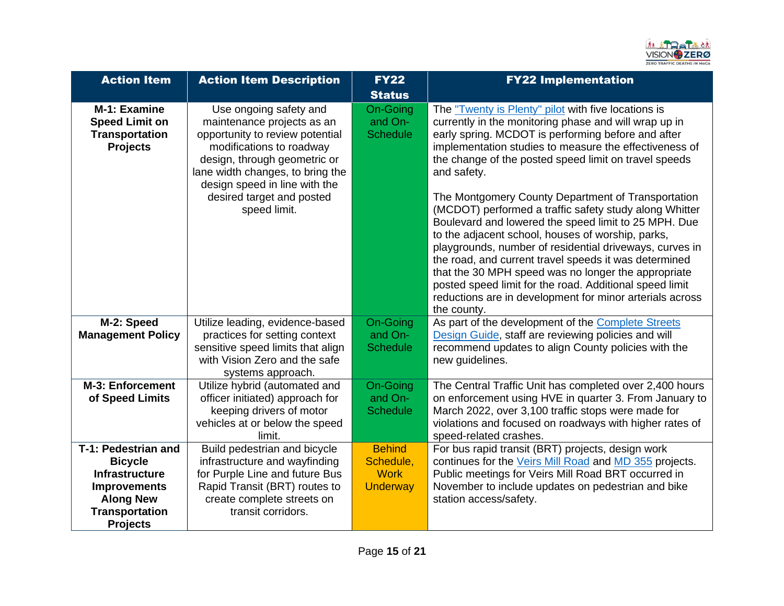

| <b>Action Item</b>                                                                                                                                    | <b>Action Item Description</b>                                                                                                                                                                                                                                        | <b>FY22</b><br><b>Status</b>                                 | <b>FY22 Implementation</b>                                                                                                                                                                                                                                                                                                                                                                                                                                                                                                                                                                                                                                                                                                                                                                                                                         |
|-------------------------------------------------------------------------------------------------------------------------------------------------------|-----------------------------------------------------------------------------------------------------------------------------------------------------------------------------------------------------------------------------------------------------------------------|--------------------------------------------------------------|----------------------------------------------------------------------------------------------------------------------------------------------------------------------------------------------------------------------------------------------------------------------------------------------------------------------------------------------------------------------------------------------------------------------------------------------------------------------------------------------------------------------------------------------------------------------------------------------------------------------------------------------------------------------------------------------------------------------------------------------------------------------------------------------------------------------------------------------------|
| M-1: Examine<br><b>Speed Limit on</b><br><b>Transportation</b><br><b>Projects</b>                                                                     | Use ongoing safety and<br>maintenance projects as an<br>opportunity to review potential<br>modifications to roadway<br>design, through geometric or<br>lane width changes, to bring the<br>design speed in line with the<br>desired target and posted<br>speed limit. | On-Going<br>and On-<br><b>Schedule</b>                       | The "Twenty is Plenty" pilot with five locations is<br>currently in the monitoring phase and will wrap up in<br>early spring. MCDOT is performing before and after<br>implementation studies to measure the effectiveness of<br>the change of the posted speed limit on travel speeds<br>and safety.<br>The Montgomery County Department of Transportation<br>(MCDOT) performed a traffic safety study along Whitter<br>Boulevard and lowered the speed limit to 25 MPH. Due<br>to the adjacent school, houses of worship, parks,<br>playgrounds, number of residential driveways, curves in<br>the road, and current travel speeds it was determined<br>that the 30 MPH speed was no longer the appropriate<br>posted speed limit for the road. Additional speed limit<br>reductions are in development for minor arterials across<br>the county. |
| M-2: Speed<br><b>Management Policy</b>                                                                                                                | Utilize leading, evidence-based<br>practices for setting context<br>sensitive speed limits that align<br>with Vision Zero and the safe<br>systems approach.                                                                                                           | On-Going<br>and On-<br><b>Schedule</b>                       | As part of the development of the Complete Streets<br>Design Guide, staff are reviewing policies and will<br>recommend updates to align County policies with the<br>new guidelines.                                                                                                                                                                                                                                                                                                                                                                                                                                                                                                                                                                                                                                                                |
| M-3: Enforcement<br>of Speed Limits                                                                                                                   | Utilize hybrid (automated and<br>officer initiated) approach for<br>keeping drivers of motor<br>vehicles at or below the speed<br>limit.                                                                                                                              | <b>On-Going</b><br>and On-<br><b>Schedule</b>                | The Central Traffic Unit has completed over 2,400 hours<br>on enforcement using HVE in quarter 3. From January to<br>March 2022, over 3,100 traffic stops were made for<br>violations and focused on roadways with higher rates of<br>speed-related crashes.                                                                                                                                                                                                                                                                                                                                                                                                                                                                                                                                                                                       |
| T-1: Pedestrian and<br><b>Bicycle</b><br><b>Infrastructure</b><br><b>Improvements</b><br><b>Along New</b><br><b>Transportation</b><br><b>Projects</b> | Build pedestrian and bicycle<br>infrastructure and wayfinding<br>for Purple Line and future Bus<br>Rapid Transit (BRT) routes to<br>create complete streets on<br>transit corridors.                                                                                  | <b>Behind</b><br>Schedule,<br><b>Work</b><br><b>Underway</b> | For bus rapid transit (BRT) projects, design work<br>continues for the Veirs Mill Road and MD 355 projects.<br>Public meetings for Veirs Mill Road BRT occurred in<br>November to include updates on pedestrian and bike<br>station access/safety.                                                                                                                                                                                                                                                                                                                                                                                                                                                                                                                                                                                                 |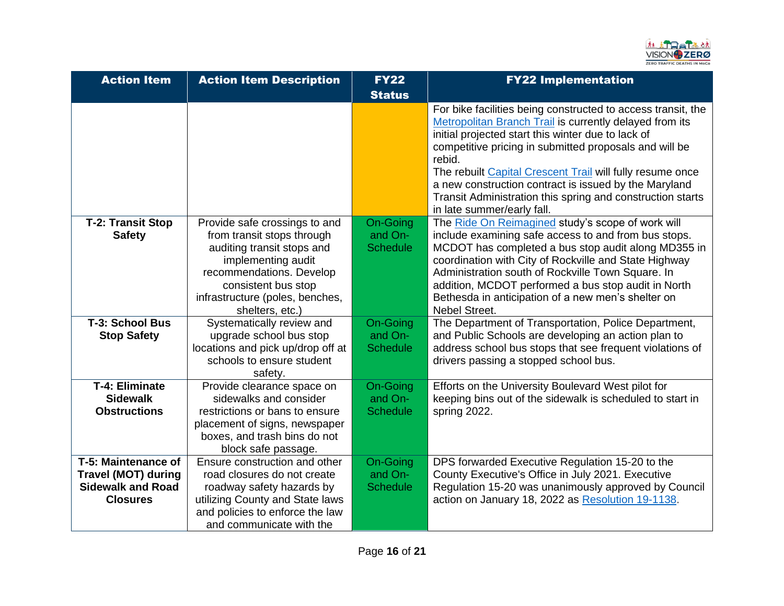

| <b>Action Item</b>         | <b>Action Item Description</b>                               | <b>FY22</b>         | <b>FY22 Implementation</b>                                                                                                                                                                                                                                                                                                                                                                                                                                          |
|----------------------------|--------------------------------------------------------------|---------------------|---------------------------------------------------------------------------------------------------------------------------------------------------------------------------------------------------------------------------------------------------------------------------------------------------------------------------------------------------------------------------------------------------------------------------------------------------------------------|
|                            |                                                              | <b>Status</b>       |                                                                                                                                                                                                                                                                                                                                                                                                                                                                     |
|                            |                                                              |                     | For bike facilities being constructed to access transit, the<br>Metropolitan Branch Trail is currently delayed from its<br>initial projected start this winter due to lack of<br>competitive pricing in submitted proposals and will be<br>rebid.<br>The rebuilt Capital Crescent Trail will fully resume once<br>a new construction contract is issued by the Maryland<br>Transit Administration this spring and construction starts<br>in late summer/early fall. |
| <b>T-2: Transit Stop</b>   | Provide safe crossings to and                                | On-Going            | The Ride On Reimagined study's scope of work will                                                                                                                                                                                                                                                                                                                                                                                                                   |
| <b>Safety</b>              | from transit stops through                                   | and On-             | include examining safe access to and from bus stops.                                                                                                                                                                                                                                                                                                                                                                                                                |
|                            | auditing transit stops and                                   | <b>Schedule</b>     | MCDOT has completed a bus stop audit along MD355 in                                                                                                                                                                                                                                                                                                                                                                                                                 |
|                            | implementing audit                                           |                     | coordination with City of Rockville and State Highway                                                                                                                                                                                                                                                                                                                                                                                                               |
|                            | recommendations. Develop                                     |                     | Administration south of Rockville Town Square. In                                                                                                                                                                                                                                                                                                                                                                                                                   |
|                            | consistent bus stop                                          |                     | addition, MCDOT performed a bus stop audit in North                                                                                                                                                                                                                                                                                                                                                                                                                 |
|                            | infrastructure (poles, benches,                              |                     | Bethesda in anticipation of a new men's shelter on                                                                                                                                                                                                                                                                                                                                                                                                                  |
|                            | shelters, etc.)                                              |                     | Nebel Street.                                                                                                                                                                                                                                                                                                                                                                                                                                                       |
| T-3: School Bus            | Systematically review and                                    | On-Going<br>and On- | The Department of Transportation, Police Department,                                                                                                                                                                                                                                                                                                                                                                                                                |
| <b>Stop Safety</b>         | upgrade school bus stop<br>locations and pick up/drop off at | <b>Schedule</b>     | and Public Schools are developing an action plan to<br>address school bus stops that see frequent violations of                                                                                                                                                                                                                                                                                                                                                     |
|                            | schools to ensure student                                    |                     | drivers passing a stopped school bus.                                                                                                                                                                                                                                                                                                                                                                                                                               |
|                            | safety.                                                      |                     |                                                                                                                                                                                                                                                                                                                                                                                                                                                                     |
| <b>T-4: Eliminate</b>      | Provide clearance space on                                   | <b>On-Going</b>     | Efforts on the University Boulevard West pilot for                                                                                                                                                                                                                                                                                                                                                                                                                  |
| <b>Sidewalk</b>            | sidewalks and consider                                       | and On-             | keeping bins out of the sidewalk is scheduled to start in                                                                                                                                                                                                                                                                                                                                                                                                           |
| <b>Obstructions</b>        | restrictions or bans to ensure                               | <b>Schedule</b>     | spring 2022.                                                                                                                                                                                                                                                                                                                                                                                                                                                        |
|                            | placement of signs, newspaper                                |                     |                                                                                                                                                                                                                                                                                                                                                                                                                                                                     |
|                            | boxes, and trash bins do not                                 |                     |                                                                                                                                                                                                                                                                                                                                                                                                                                                                     |
|                            | block safe passage.                                          |                     |                                                                                                                                                                                                                                                                                                                                                                                                                                                                     |
| T-5: Maintenance of        | Ensure construction and other                                | <b>On-Going</b>     | DPS forwarded Executive Regulation 15-20 to the                                                                                                                                                                                                                                                                                                                                                                                                                     |
| <b>Travel (MOT) during</b> | road closures do not create                                  | and On-             | County Executive's Office in July 2021. Executive                                                                                                                                                                                                                                                                                                                                                                                                                   |
| <b>Sidewalk and Road</b>   | roadway safety hazards by                                    | <b>Schedule</b>     | Regulation 15-20 was unanimously approved by Council                                                                                                                                                                                                                                                                                                                                                                                                                |
| <b>Closures</b>            | utilizing County and State laws                              |                     | action on January 18, 2022 as Resolution 19-1138.                                                                                                                                                                                                                                                                                                                                                                                                                   |
|                            | and policies to enforce the law                              |                     |                                                                                                                                                                                                                                                                                                                                                                                                                                                                     |
|                            | and communicate with the                                     |                     |                                                                                                                                                                                                                                                                                                                                                                                                                                                                     |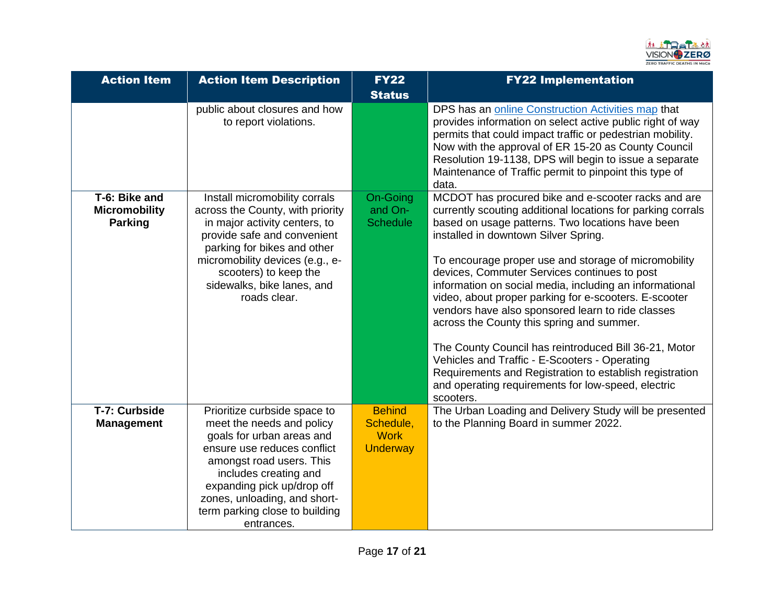

| <b>Action Item</b>                                      | <b>Action Item Description</b>                                                                                                                                                                                                                                                           | <b>FY22</b><br><b>Status</b>                                 | <b>FY22 Implementation</b>                                                                                                                                                                                                                                                                                                                                                                                                                                                                                                                                                                                                                                                                                                                                                           |
|---------------------------------------------------------|------------------------------------------------------------------------------------------------------------------------------------------------------------------------------------------------------------------------------------------------------------------------------------------|--------------------------------------------------------------|--------------------------------------------------------------------------------------------------------------------------------------------------------------------------------------------------------------------------------------------------------------------------------------------------------------------------------------------------------------------------------------------------------------------------------------------------------------------------------------------------------------------------------------------------------------------------------------------------------------------------------------------------------------------------------------------------------------------------------------------------------------------------------------|
|                                                         | public about closures and how<br>to report violations.                                                                                                                                                                                                                                   |                                                              | DPS has an online Construction Activities map that<br>provides information on select active public right of way<br>permits that could impact traffic or pedestrian mobility.<br>Now with the approval of ER 15-20 as County Council<br>Resolution 19-1138, DPS will begin to issue a separate<br>Maintenance of Traffic permit to pinpoint this type of<br>data.                                                                                                                                                                                                                                                                                                                                                                                                                     |
| T-6: Bike and<br><b>Micromobility</b><br><b>Parking</b> | Install micromobility corrals<br>across the County, with priority<br>in major activity centers, to<br>provide safe and convenient<br>parking for bikes and other<br>micromobility devices (e.g., e-<br>scooters) to keep the<br>sidewalks, bike lanes, and<br>roads clear.               | On-Going<br>and On-<br><b>Schedule</b>                       | MCDOT has procured bike and e-scooter racks and are<br>currently scouting additional locations for parking corrals<br>based on usage patterns. Two locations have been<br>installed in downtown Silver Spring.<br>To encourage proper use and storage of micromobility<br>devices, Commuter Services continues to post<br>information on social media, including an informational<br>video, about proper parking for e-scooters. E-scooter<br>vendors have also sponsored learn to ride classes<br>across the County this spring and summer.<br>The County Council has reintroduced Bill 36-21, Motor<br>Vehicles and Traffic - E-Scooters - Operating<br>Requirements and Registration to establish registration<br>and operating requirements for low-speed, electric<br>scooters. |
| T-7: Curbside<br><b>Management</b>                      | Prioritize curbside space to<br>meet the needs and policy<br>goals for urban areas and<br>ensure use reduces conflict<br>amongst road users. This<br>includes creating and<br>expanding pick up/drop off<br>zones, unloading, and short-<br>term parking close to building<br>entrances. | <b>Behind</b><br>Schedule,<br><b>Work</b><br><b>Underway</b> | The Urban Loading and Delivery Study will be presented<br>to the Planning Board in summer 2022.                                                                                                                                                                                                                                                                                                                                                                                                                                                                                                                                                                                                                                                                                      |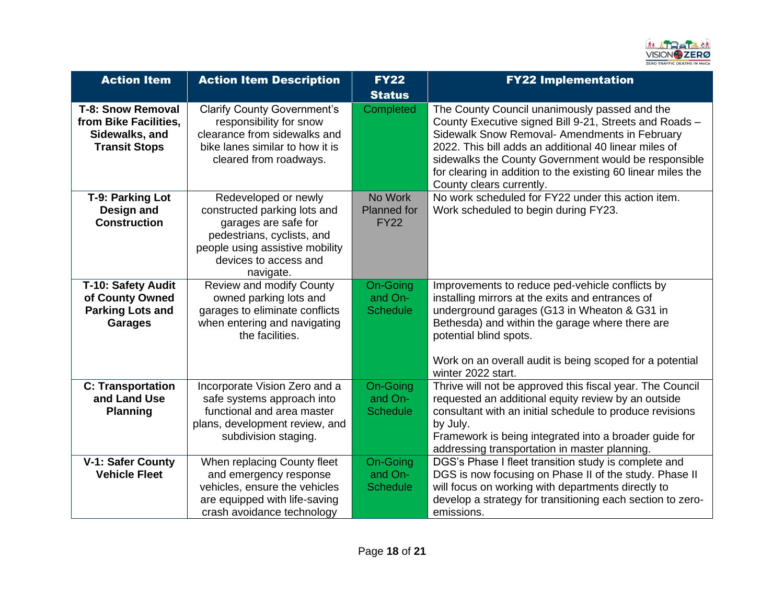

| <b>Action Item</b>                                                                          | <b>Action Item Description</b>                                                                                                                                                      | <b>FY22</b><br><b>Status</b>                  | <b>FY22 Implementation</b>                                                                                                                                                                                                                                                                                                                                            |
|---------------------------------------------------------------------------------------------|-------------------------------------------------------------------------------------------------------------------------------------------------------------------------------------|-----------------------------------------------|-----------------------------------------------------------------------------------------------------------------------------------------------------------------------------------------------------------------------------------------------------------------------------------------------------------------------------------------------------------------------|
| <b>T-8: Snow Removal</b><br>from Bike Facilities,<br>Sidewalks, and<br><b>Transit Stops</b> | <b>Clarify County Government's</b><br>responsibility for snow<br>clearance from sidewalks and<br>bike lanes similar to how it is<br>cleared from roadways.                          | Completed                                     | The County Council unanimously passed and the<br>County Executive signed Bill 9-21, Streets and Roads -<br>Sidewalk Snow Removal- Amendments in February<br>2022. This bill adds an additional 40 linear miles of<br>sidewalks the County Government would be responsible<br>for clearing in addition to the existing 60 linear miles the<br>County clears currently. |
| T-9: Parking Lot<br>Design and<br><b>Construction</b>                                       | Redeveloped or newly<br>constructed parking lots and<br>garages are safe for<br>pedestrians, cyclists, and<br>people using assistive mobility<br>devices to access and<br>navigate. | No Work<br><b>Planned for</b><br><b>FY22</b>  | No work scheduled for FY22 under this action item.<br>Work scheduled to begin during FY23.                                                                                                                                                                                                                                                                            |
| T-10: Safety Audit<br>of County Owned<br><b>Parking Lots and</b><br><b>Garages</b>          | Review and modify County<br>owned parking lots and<br>garages to eliminate conflicts<br>when entering and navigating<br>the facilities.                                             | <b>On-Going</b><br>and On-<br><b>Schedule</b> | Improvements to reduce ped-vehicle conflicts by<br>installing mirrors at the exits and entrances of<br>underground garages (G13 in Wheaton & G31 in<br>Bethesda) and within the garage where there are<br>potential blind spots.<br>Work on an overall audit is being scoped for a potential<br>winter 2022 start.                                                    |
| <b>C: Transportation</b><br>and Land Use<br><b>Planning</b>                                 | Incorporate Vision Zero and a<br>safe systems approach into<br>functional and area master<br>plans, development review, and<br>subdivision staging.                                 | On-Going<br>and On-<br><b>Schedule</b>        | Thrive will not be approved this fiscal year. The Council<br>requested an additional equity review by an outside<br>consultant with an initial schedule to produce revisions<br>by July.<br>Framework is being integrated into a broader guide for<br>addressing transportation in master planning.                                                                   |
| <b>V-1: Safer County</b><br><b>Vehicle Fleet</b>                                            | When replacing County fleet<br>and emergency response<br>vehicles, ensure the vehicles<br>are equipped with life-saving<br>crash avoidance technology                               | On-Going<br>and On-<br><b>Schedule</b>        | DGS's Phase I fleet transition study is complete and<br>DGS is now focusing on Phase II of the study. Phase II<br>will focus on working with departments directly to<br>develop a strategy for transitioning each section to zero-<br>emissions.                                                                                                                      |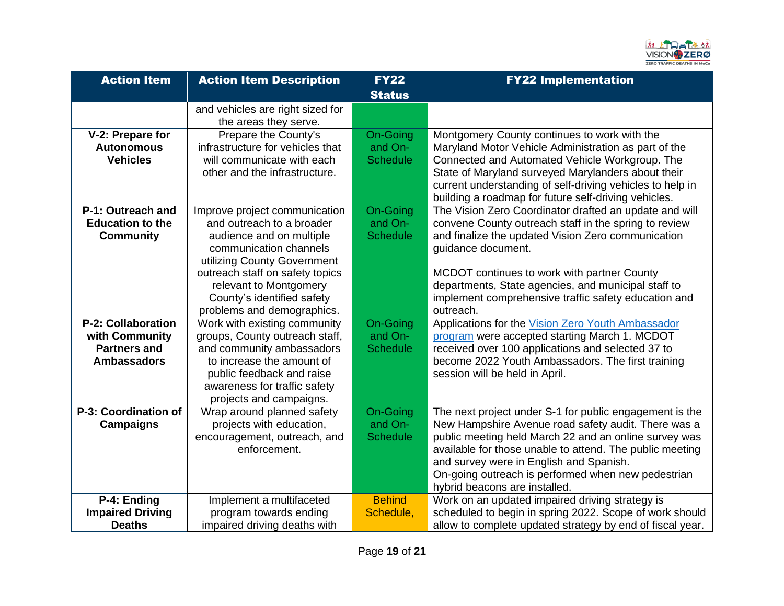

| <b>Action Item</b>                                                                       | <b>Action Item Description</b>                                                                                                                                                                                                                                           | <b>FY22</b><br><b>Status</b>                  | <b>FY22 Implementation</b>                                                                                                                                                                                                                                                                                                                                             |
|------------------------------------------------------------------------------------------|--------------------------------------------------------------------------------------------------------------------------------------------------------------------------------------------------------------------------------------------------------------------------|-----------------------------------------------|------------------------------------------------------------------------------------------------------------------------------------------------------------------------------------------------------------------------------------------------------------------------------------------------------------------------------------------------------------------------|
|                                                                                          | and vehicles are right sized for<br>the areas they serve.                                                                                                                                                                                                                |                                               |                                                                                                                                                                                                                                                                                                                                                                        |
| V-2: Prepare for<br><b>Autonomous</b><br><b>Vehicles</b>                                 | Prepare the County's<br>infrastructure for vehicles that<br>will communicate with each<br>other and the infrastructure.                                                                                                                                                  | On-Going<br>and On-<br><b>Schedule</b>        | Montgomery County continues to work with the<br>Maryland Motor Vehicle Administration as part of the<br>Connected and Automated Vehicle Workgroup. The<br>State of Maryland surveyed Marylanders about their<br>current understanding of self-driving vehicles to help in<br>building a roadmap for future self-driving vehicles.                                      |
| P-1: Outreach and<br><b>Education to the</b><br><b>Community</b>                         | Improve project communication<br>and outreach to a broader<br>audience and on multiple<br>communication channels<br>utilizing County Government<br>outreach staff on safety topics<br>relevant to Montgomery<br>County's identified safety<br>problems and demographics. | On-Going<br>and On-<br><b>Schedule</b>        | The Vision Zero Coordinator drafted an update and will<br>convene County outreach staff in the spring to review<br>and finalize the updated Vision Zero communication<br>guidance document.<br>MCDOT continues to work with partner County<br>departments, State agencies, and municipal staff to<br>implement comprehensive traffic safety education and<br>outreach. |
| <b>P-2: Collaboration</b><br>with Community<br><b>Partners and</b><br><b>Ambassadors</b> | Work with existing community<br>groups, County outreach staff,<br>and community ambassadors<br>to increase the amount of<br>public feedback and raise<br>awareness for traffic safety<br>projects and campaigns.                                                         | On-Going<br>and On-<br><b>Schedule</b>        | Applications for the Vision Zero Youth Ambassador<br>program were accepted starting March 1. MCDOT<br>received over 100 applications and selected 37 to<br>become 2022 Youth Ambassadors. The first training<br>session will be held in April.                                                                                                                         |
| P-3: Coordination of<br><b>Campaigns</b>                                                 | Wrap around planned safety<br>projects with education,<br>encouragement, outreach, and<br>enforcement.                                                                                                                                                                   | <b>On-Going</b><br>and On-<br><b>Schedule</b> | The next project under S-1 for public engagement is the<br>New Hampshire Avenue road safety audit. There was a<br>public meeting held March 22 and an online survey was<br>available for those unable to attend. The public meeting<br>and survey were in English and Spanish.<br>On-going outreach is performed when new pedestrian<br>hybrid beacons are installed.  |
| P-4: Ending<br><b>Impaired Driving</b><br><b>Deaths</b>                                  | Implement a multifaceted<br>program towards ending<br>impaired driving deaths with                                                                                                                                                                                       | <b>Behind</b><br>Schedule,                    | Work on an updated impaired driving strategy is<br>scheduled to begin in spring 2022. Scope of work should<br>allow to complete updated strategy by end of fiscal year.                                                                                                                                                                                                |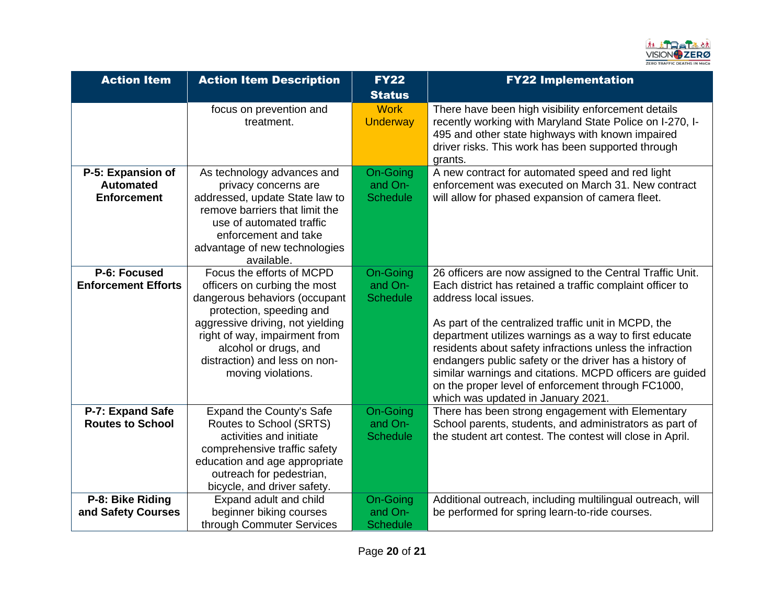

| <b>Action Item</b>                                          | <b>Action Item Description</b>                                                                                                                                                                                                                                              | <b>FY22</b><br><b>Status</b>           | <b>FY22 Implementation</b>                                                                                                                                                                                                                                                                                                                                                                                                                                                                                                                      |
|-------------------------------------------------------------|-----------------------------------------------------------------------------------------------------------------------------------------------------------------------------------------------------------------------------------------------------------------------------|----------------------------------------|-------------------------------------------------------------------------------------------------------------------------------------------------------------------------------------------------------------------------------------------------------------------------------------------------------------------------------------------------------------------------------------------------------------------------------------------------------------------------------------------------------------------------------------------------|
|                                                             | focus on prevention and<br>treatment.                                                                                                                                                                                                                                       | <b>Work</b><br><b>Underway</b>         | There have been high visibility enforcement details<br>recently working with Maryland State Police on I-270, I-<br>495 and other state highways with known impaired<br>driver risks. This work has been supported through<br>grants.                                                                                                                                                                                                                                                                                                            |
| P-5: Expansion of<br><b>Automated</b><br><b>Enforcement</b> | As technology advances and<br>privacy concerns are<br>addressed, update State law to<br>remove barriers that limit the<br>use of automated traffic<br>enforcement and take<br>advantage of new technologies<br>available.                                                   | On-Going<br>and On-<br><b>Schedule</b> | A new contract for automated speed and red light<br>enforcement was executed on March 31. New contract<br>will allow for phased expansion of camera fleet.                                                                                                                                                                                                                                                                                                                                                                                      |
| P-6: Focused<br><b>Enforcement Efforts</b>                  | Focus the efforts of MCPD<br>officers on curbing the most<br>dangerous behaviors (occupant<br>protection, speeding and<br>aggressive driving, not yielding<br>right of way, impairment from<br>alcohol or drugs, and<br>distraction) and less on non-<br>moving violations. | On-Going<br>and On-<br><b>Schedule</b> | 26 officers are now assigned to the Central Traffic Unit.<br>Each district has retained a traffic complaint officer to<br>address local issues.<br>As part of the centralized traffic unit in MCPD, the<br>department utilizes warnings as a way to first educate<br>residents about safety infractions unless the infraction<br>endangers public safety or the driver has a history of<br>similar warnings and citations. MCPD officers are guided<br>on the proper level of enforcement through FC1000,<br>which was updated in January 2021. |
| P-7: Expand Safe<br><b>Routes to School</b>                 | Expand the County's Safe<br>Routes to School (SRTS)<br>activities and initiate<br>comprehensive traffic safety<br>education and age appropriate<br>outreach for pedestrian,<br>bicycle, and driver safety.                                                                  | On-Going<br>and On-<br><b>Schedule</b> | There has been strong engagement with Elementary<br>School parents, students, and administrators as part of<br>the student art contest. The contest will close in April.                                                                                                                                                                                                                                                                                                                                                                        |
| P-8: Bike Riding<br>and Safety Courses                      | Expand adult and child<br>beginner biking courses<br>through Commuter Services                                                                                                                                                                                              | On-Going<br>and On-<br><b>Schedule</b> | Additional outreach, including multilingual outreach, will<br>be performed for spring learn-to-ride courses.                                                                                                                                                                                                                                                                                                                                                                                                                                    |